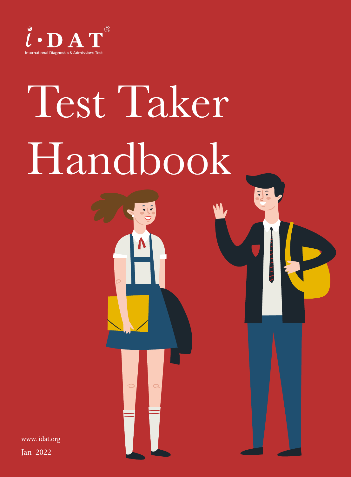

# Test Taker Handbook

 $\left| \cdot \right|$ 

www. idat.org

Jan 2022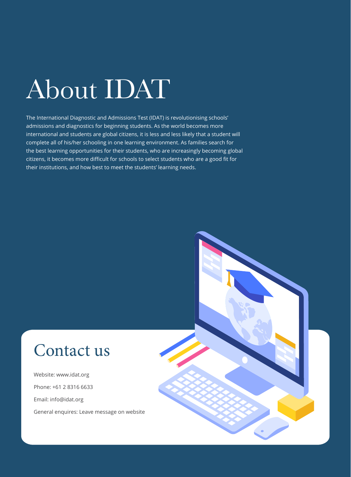## About IDAT

The International Diagnostic and Admissions Test (IDAT) is revolutionising schools' admissions and diagnostics for beginning students. As the world becomes more international and students are global citizens, it is less and less likely that a student will complete all of his/her schooling in one learning environment. As families search for the best learning opportunities for their students, who are increasingly becoming global citizens, it becomes more difficult for schools to select students who are a good fit for their institutions, and how best to meet the students' learning needs.

## Contact us

Website: www.idat.org Phone: +61 2 8316 6633 Email: info@idat.org General enquires: Leave message on website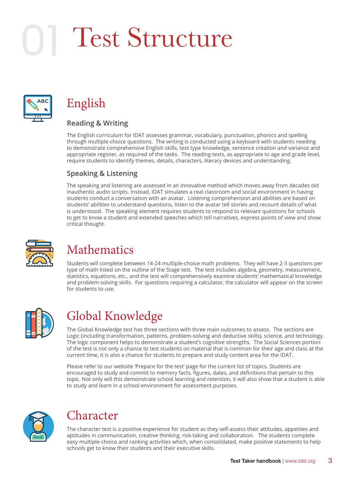## Test Structure



### English

#### **Reading & Writing**

The English curriculum for IDAT assesses grammar, vocabulary, punctuation, phonics and spelling through multiple-choice questions. The writing is conducted using a keyboard with students needing to demonstrate comprehensive English skills, text type knowledge, sentence creation and variance and appropriate register, as required of the tasks. The reading texts, as appropriate to age and grade level, require students to identify themes, details, characters, literary devices and understanding.

#### **Speaking & Listening**

The speaking and listening are assessed in an innovative method which moves away from decades old inauthentic audio scripts. Instead, IDAT simulates a real classroom and social environment in having students conduct a conversation with an avatar. Listening comprehension and abilities are based on students' abilities to understand questions, listen to the avatar tell stories and recount details of what is understood. The speaking element requires students to respond to relevant questions for schools to get to know a student and extended speeches which tell narratives, express points of view and show critical thought.



### Mathematics

Students will complete between 14-24 multiple-choice math problems. They will have 2-3 questions per type of math listed on the outline of the Stage test. The test includes algebra, geometry, measurement, statistics, equations, etc., and the test will comprehensively examine students' mathematical knowledge and problem-solving skills. For questions requiring a calculator, the calculator will appear on the screen for students to use.



### Global Knowledge

The Global Knowledge test has three sections with three main outcomes to assess. The sections are Logic (including transformation, patterns, problem-solving and deductive skills), science, and technology. The logic component helps to demonstrate a student's cognitive strengths. The Social Sciences portion of the test is not only a chance to test students on material that is common for their age and class at the current time, it is also a chance for students to prepare and study content area for the IDAT.

Please refer to our website 'Prepare for the test' page for the current list of topics. Students are encouraged to study and commit to memory facts, figures, dates, and definitions that pertain to this topic. Not only will this demonstrate school learning and retention, it will also show that a student is able to study and learn in a school environment for assessment purposes.



#### Character

The character test is a positive experience for student as they self-assess their attitudes, appetites and aptitudes in communication, creative thinking, risk-taking and collaboration. The students complete easy multiple-choice and ranking activities which, when consolidated, make positive statements to help schools get to know their students and their executive skills.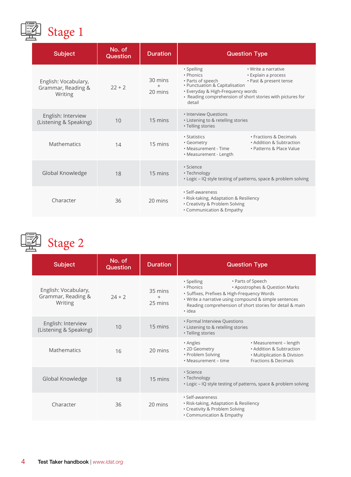

| <b>Subject</b>                                        | No. of<br><b>Question</b> | <b>Duration</b>    | <b>Question Type</b>                                                                                                                                                                                                                                                |
|-------------------------------------------------------|---------------------------|--------------------|---------------------------------------------------------------------------------------------------------------------------------------------------------------------------------------------------------------------------------------------------------------------|
| English: Vocabulary,<br>Grammar, Reading &<br>Writing | $22 + 2$                  | 30 mins<br>20 mins | • Spelling<br>• Write a narrative<br>• Phonics<br>• Explain a process<br>• Parts of speech<br>• Past & present tense<br>• Punctuation & Capitalisation<br>• Everyday & High-Frequency words<br>• Reading comprehension of short stories with pictures for<br>detail |
| English: Interview<br>(Listening & Speaking)          | 10                        | 15 mins            | • Interview Questions<br>• Listening to & retelling stories<br>• Telling stories                                                                                                                                                                                    |
| Mathematics                                           | 14                        | 15 mins            | • Fractions & Decimals<br>• Statistics<br>• Addition & Subtraction<br>• Geometry<br>• Measurement - Time<br>• Patterns & Place Value<br>• Measurement - Length                                                                                                      |
| Global Knowledge                                      | 18                        | 15 mins            | · Science<br>• Technology<br>. Logic - IQ style testing of patterns, space & problem solving                                                                                                                                                                        |
| Character                                             | 36                        | 20 mins            | · Self-awareness<br>• Risk-taking, Adaptation & Resiliency<br>• Creativity & Problem Solving<br>• Communication & Empathy                                                                                                                                           |



## Stage 2

| <b>Subject</b>                                        | No. of<br><b>Question</b> | <b>Duration</b>              | <b>Question Type</b>                                                                                                                                                                                                                                         |
|-------------------------------------------------------|---------------------------|------------------------------|--------------------------------------------------------------------------------------------------------------------------------------------------------------------------------------------------------------------------------------------------------------|
| English: Vocabulary,<br>Grammar, Reading &<br>Writing | $74 + 7$                  | 35 mins<br>$^{+}$<br>25 mins | • Parts of Speech<br>· Spelling<br>• Phonics<br>• Apostrophes & Question Marks<br>· Suffixes, Prefixes & High-Frequency Words<br>. Write a narrative using compound & simple sentences<br>Reading comprehension of short stories for detail & main<br>· idea |
| English: Interview<br>(Listening & Speaking)          | 10                        | 15 mins                      | • Formal Interview Questions<br>• Listening to & retelling stories<br>• Telling stories                                                                                                                                                                      |
| Mathematics                                           | 16                        | 20 mins                      | • Measurement - length<br>• Angles<br>• Addition & Subtraction<br>• 2D Geometry<br>• Problem Solving<br>• Multiplication & Division<br>• Measurement – time<br>Fractions & Decimals                                                                          |
| Global Knowledge                                      | 18                        | 15 mins                      | • Science<br>• Technology<br>• Logic – IQ style testing of patterns, space & problem solving                                                                                                                                                                 |
| Character                                             | 36                        | 20 mins                      | · Self-awareness<br>• Risk-taking, Adaptation & Resiliency<br>• Creativity & Problem Solving<br>• Communication & Empathy                                                                                                                                    |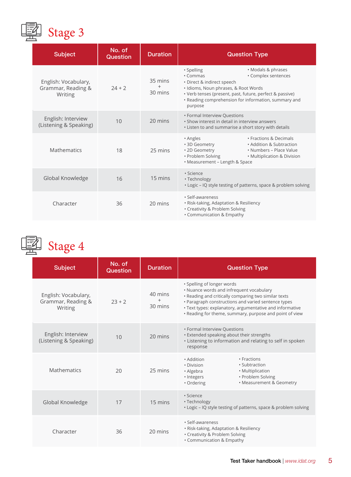

| <b>Subject</b>                                        | No. of<br><b>Question</b> | <b>Duration</b>    | <b>Question Type</b>                                                                                                                                                                                                                                                     |
|-------------------------------------------------------|---------------------------|--------------------|--------------------------------------------------------------------------------------------------------------------------------------------------------------------------------------------------------------------------------------------------------------------------|
| English: Vocabulary,<br>Grammar, Reading &<br>Writing | $24 + 2$                  | 35 mins<br>30 mins | • Modals & phrases<br>• Spelling<br>· Complex sentences<br>• Commas<br>· Direct & indirect speech<br>· Idioms, Noun phrases, & Root Words<br>• Verb tenses (present, past, future, perfect & passive)<br>• Reading comprehension for information, summary and<br>purpose |
| English: Interview<br>(Listening & Speaking)          | 10                        | 20 mins            | • Formal Interview Questions<br>. Show interest in detail in interview answers<br>. Listen to and summarise a short story with details                                                                                                                                   |
| Mathematics                                           | 18                        | 25 mins            | • Fractions & Decimals<br>• Angles<br>• Addition & Subtraction<br>• 3D Geometry<br>• 2D Geometry<br>• Numbers – Place Value<br>• Problem Solving<br>• Multiplication & Division<br>• Measurement - Length & Space                                                        |
| Global Knowledge                                      | 16                        | 15 mins            | · Science<br>• Technology<br>. Logic - IQ style testing of patterns, space & problem solving                                                                                                                                                                             |
| Character                                             | 36                        | 20 mins            | · Self-awareness<br>· Risk-taking, Adaptation & Resiliency<br>• Creativity & Problem Solving<br>• Communication & Empathy                                                                                                                                                |

 $\sqrt{3}$  Stage 4

| <b>Subject</b>                                        | No. of<br><b>Question</b> | <b>Duration</b>    | <b>Question Type</b>                                                                                                                                                                                                                                                                                         |
|-------------------------------------------------------|---------------------------|--------------------|--------------------------------------------------------------------------------------------------------------------------------------------------------------------------------------------------------------------------------------------------------------------------------------------------------------|
| English: Vocabulary,<br>Grammar, Reading &<br>Writing | $23 + 2$                  | 40 mins<br>30 mins | • Spelling of longer words<br>• Nuance words and infrequent vocabulary<br>. Reading and critically comparing two similar texts<br>• Paragraph constructions and varied sentence types<br>• Text types: explanatory, argumentative and informative<br>. Reading for theme, summary, purpose and point of view |
| English: Interview<br>(Listening & Speaking)          | 10                        | 20 mins            | • Formal Interview Questions<br>• Extended speaking about their strengths<br>· Listening to information and relating to self in spoken<br>response                                                                                                                                                           |
| <b>Mathematics</b>                                    | 20                        | 25 mins            | • Fractions<br>• Addition<br>· Subtraction<br>· Division<br>• Multiplication<br>• Algebra<br>• Problem Solving<br>· Integers<br>• Measurement & Geometry<br>• Ordering                                                                                                                                       |
| Global Knowledge                                      | 17                        | 15 mins            | · Science<br>• Technology<br>. Logic - IQ style testing of patterns, space & problem solving                                                                                                                                                                                                                 |
| Character                                             | 36                        | 20 mins            | · Self-awareness<br>• Risk-taking, Adaptation & Resiliency<br>• Creativity & Problem Solving<br>• Communication & Empathy                                                                                                                                                                                    |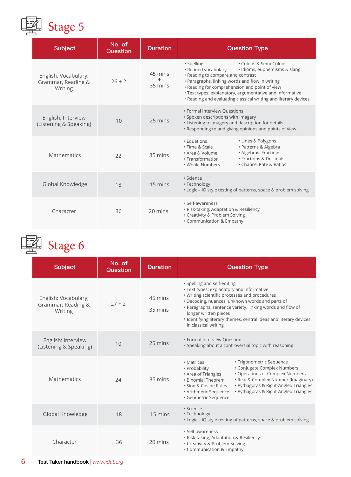

| <b>Subject</b>                                        | No. of<br><b>Question</b> | <b>Duration</b>              | <b>Question Type</b>                                                                                                                                                                                                                                                                                                                                                 |
|-------------------------------------------------------|---------------------------|------------------------------|----------------------------------------------------------------------------------------------------------------------------------------------------------------------------------------------------------------------------------------------------------------------------------------------------------------------------------------------------------------------|
| English: Vocabulary,<br>Grammar, Reading &<br>Writing | $26 + 2$                  | 45 mins<br>$^{+}$<br>35 mins | • Colons & Semi-Colons<br>· Spelling<br>• Refined vocabulary<br>· Idioms, euphemisms & slang<br>• Reading to compare and contrast<br>• Paragraphs, linking words and flow in writing<br>. Reading for comprehension and point of view<br>· Text types: explanatory, argumentative and informative<br>. Reading and evaluating classical writing and literary devices |
| English: Interview<br>(Listening & Speaking)          | 10                        | 25 mins                      | • Formal Interview Questions<br>· Spoken descriptions with imagery<br>• Listening to imagery and description for details<br>. Responding to and giving opinions and points of view                                                                                                                                                                                   |
| Mathematics                                           | 22                        | 35 mins                      | • Lines & Polygons<br>• Equations<br>· Patterns & Algebra<br>• Time & Scale<br>• Algebraic Fractions<br>• Area & Volume<br>• Fractions & Decimals<br>• Transformation<br>• Chance, Rate & Ratios<br>. Whole Numbers                                                                                                                                                  |
| Global Knowledge                                      | 18                        | 15 mins                      | · Science<br>• Technology<br>. Logic - IQ style testing of patterns, space & problem solving                                                                                                                                                                                                                                                                         |
| Character                                             | 36                        | 20 mins                      | · Self-awareness<br>· Risk-taking, Adaptation & Resiliency<br>• Creativity & Problem Solving<br>• Communication & Empathy                                                                                                                                                                                                                                            |

图 Stage 6

| <b>Subject</b>                                        | No. of<br><b>Question</b> | <b>Duration</b>              | <b>Question Type</b>                                                                                                                                                                                                                                                                                                                                                      |
|-------------------------------------------------------|---------------------------|------------------------------|---------------------------------------------------------------------------------------------------------------------------------------------------------------------------------------------------------------------------------------------------------------------------------------------------------------------------------------------------------------------------|
| English: Vocabulary,<br>Grammar, Reading &<br>Writing | $27 + 2$                  | 45 mins<br>$^{+}$<br>35 mins | · Spelling and self-editing<br>• Text types: explanatory and informative<br>• Writing scientific processes and procedures<br>• Decoding, nuances, unknown words and parts of<br>• Paragraphs, sentence variety, linking words and flow of<br>longer written pieces<br>. Identifying literary themes, central ideas and literary devices<br>in classical writing           |
| English: Interview<br>(Listening & Speaking)          | 10                        | 25 mins                      | • Formal Interview Questions<br>• Speaking about a controversial topic with reasoning                                                                                                                                                                                                                                                                                     |
| Mathematics                                           | 74                        | 35 mins                      | · Trigonometric Sequence<br>• Matrices<br>• Conjugate Complex Numbers<br>• Probability<br>• Operations of Complex Numbers<br>• Area of Triangles<br>· Real & Complex Number (Imaginary)<br>• Binomial Theorem<br>· Pythagoras & Right-Angled Triangles<br>. Sine & Cosine Rules<br>· Pythagoras & Right-Angled Triangles<br>• Arithmetic Sequence<br>· Geometric Sequence |
| Global Knowledge                                      | 18                        | 15 mins                      | · Science<br>• Technology<br>. Logic - IQ style testing of patterns, space & problem solving                                                                                                                                                                                                                                                                              |
| Character                                             | 36                        | 20 mins                      | · Self-awareness<br>· Risk-taking, Adaptation & Resiliency<br>• Creativity & Problem Solving<br>• Communication & Empathy                                                                                                                                                                                                                                                 |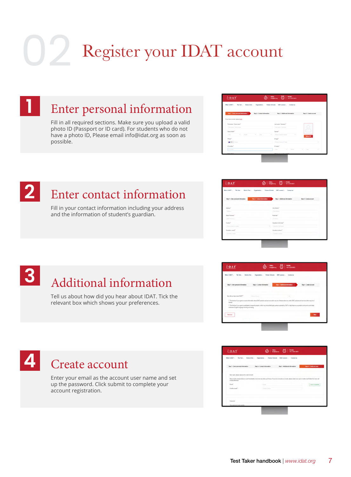## Register your IDAT account 02



### Enter personal information

Fill in all required sections. Make sure you upload a valid photo ID (Passport or ID card). For students who do not have a photo ID, Please email info@idat.org as soon as possible.

| What's IDAT?<br>Book a Test<br>The Test<br>Organization -           | Partner Schools IDAT connect<br>Contact us |                         |
|---------------------------------------------------------------------|--------------------------------------------|-------------------------|
| Step 1 - Enter personal information<br>Step 2 - Contact information | Step 3 - Additional information            | Step 4 - Create account |
| If you have account, please login                                   |                                            |                         |
| First name / Given name*                                            | Last name / Sumame <sup>*</sup>            |                         |
| First name / Given name                                             | Last name / Sumarray                       |                         |
| Date of birth <sup>*</sup>                                          | Gender*                                    |                         |
| Month<br>Day<br>Year<br>$\omega$ .<br>w.                            | Please Cheese Gender<br>$\sim$<br>×.       | <b>Uploed ID</b>        |
| Phone <sup>1</sup>                                                  | ID type <sup>*</sup>                       |                         |
| <b>AB +61 + Phone</b>                                               | Please Choose ID Type                      | ×                       |
| ID nombar <sup>4</sup>                                              | D expire <sup>*</sup>                      |                         |
| <b>ID</b> rumber                                                    | Month.<br>New<br>$\sim$                    | Day<br>÷<br>v           |



### Enter contact information

Fill in your contact information including your address and the information of student's guardian.

| What's IDAT?<br>The Test . Book a Test | Organization . Partner Schools IDAT connect .<br>Contact us                                |
|----------------------------------------|--------------------------------------------------------------------------------------------|
| Step 1 - Enter personal information    | Steo 2 - Contact information<br>Step 3 - Additional information<br>Step 4 - Create account |
| Address <sup>*</sup>                   | City! District <sup>*</sup>                                                                |
| <b>CONTRACTOR</b>                      | <b>Chattisant</b>                                                                          |
| State/Previene*                        | Postosfa <sup>+</sup>                                                                      |
| Think Percent                          | 1 Postero                                                                                  |
| Country*                               | Guardian's full name."                                                                     |
| Masse (2000) County                    | Liquiday/1 lof rugar<br>$\sim$                                                             |
| Guardian's smal <sup>4</sup>           | Guardian's phone <sup>4</sup>                                                              |
| Download council                       | Contact of the                                                                             |



## Additional information

Tell us about how did you hear about IDAT. Tick the relevant box which shows your preferences.





Enter your email as the account user name and set up the password. Click submit to complete your account registration.

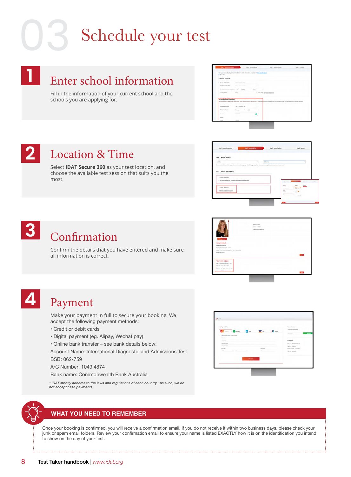## Schedule your test

### Enter school information

Fill in the information of your current school and the schools you are applying for.



#### Location & Time **2**

Select **IDAT Secure 360** as your test location, and choose the available test session that suits you the most.

| <b>Test Centre Search</b>                                                 |    |                                                                                                                                                                       |                                                           |              |
|---------------------------------------------------------------------------|----|-----------------------------------------------------------------------------------------------------------------------------------------------------------------------|-----------------------------------------------------------|--------------|
| Avenue                                                                    | v. | Melbourne                                                                                                                                                             |                                                           |              |
|                                                                           |    | the test centre information link may provide more information regarding wheelchair support, parking, directions, and other physical considerations for a test centre. |                                                           |              |
|                                                                           |    |                                                                                                                                                                       |                                                           |              |
| <b>Test Centre: Melbourne</b>                                             |    |                                                                                                                                                                       |                                                           |              |
|                                                                           |    |                                                                                                                                                                       |                                                           |              |
|                                                                           |    |                                                                                                                                                                       |                                                           |              |
|                                                                           |    |                                                                                                                                                                       |                                                           |              |
| Australia - Melbourne                                                     |    |                                                                                                                                                                       |                                                           |              |
| You will be contacted with the address and details of your test location. |    |                                                                                                                                                                       |                                                           |              |
|                                                                           |    | <b>Miller Street</b>                                                                                                                                                  | <b>The Secretary Control</b><br>and interiors.            | <b>SALES</b> |
|                                                                           |    | hoten                                                                                                                                                                 | <b>MAY BAY</b><br><b>Marita</b>                           |              |
| Aptala - Mébourne                                                         |    | <b>Sept Mary</b><br><b>Michigan</b>                                                                                                                                   | <b><i><u>SECRETS</u></i></b><br>$08 - 00$                 |              |
|                                                                           |    | <b>MARK</b>                                                                                                                                                           | <b>SHEATER</b><br>$\sim$                                  |              |
| DAT Secure 360 In home test-                                              |    | <b>Allen</b><br><b>bottless</b>                                                                                                                                       | $-1.1$ + 12 + + +<br>1.1.1.1.1.1.1<br>$-1$ $-1$ $-1$ $-1$ |              |

## Confirmation

Confirm the details that you have entered and make sure all information is correct.



## **4**

**3**

**1**

#### Payment

Make your payment in full to secure your booking. We accept the following payment methods:

- Credit or debit cards
- Digital payment (eg. Alipay, Wechat pay)
- Online bank transfer see bank details below:

Account Name: International Diagnostic and Admissions Test BSB: 062-759

A/C Number: 1049 4874

Bank name: Commonwealth Bank Australia

*\* IDAT strictly adheres to the laws and regulations of each country. As such, we do not accept cash payments.*



#### **WHAT YOU NEED TO REMEMBER**

Once your booking is confirmed, you will receive a confirmation email. If you do not receive it within two business days, please check your junk or spam email folders. Review your confirmation email to ensure your name is listed EXACTLY how it is on the identification you intend to show on the day of your test.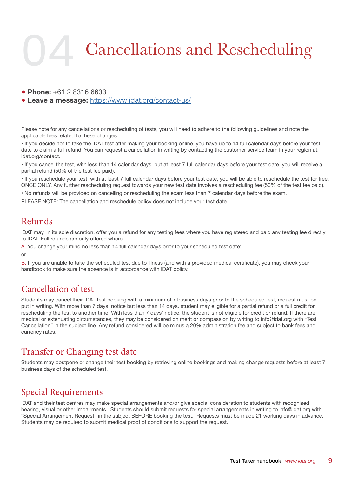## Cancellations and Rescheduling 04

● **Phone:** +61 2 8316 6633

● **Leave a message:** https://www.idat.org/contact-us/

Please note for any cancellations or rescheduling of tests, you will need to adhere to the following guidelines and note the applicable fees related to these changes.

• If you decide not to take the IDAT test after making your booking online, you have up to 14 full calendar days before your test date to claim a full refund. You can request a cancellation in writing by contacting the customer service team in your region at: idat.org/contact.

• If you cancel the test, with less than 14 calendar days, but at least 7 full calendar days before your test date, you will receive a partial refund (50% of the test fee paid).

• If you reschedule your test, with at least 7 full calendar days before your test date, you will be able to reschedule the test for free, ONCE ONLY. Any further rescheduling request towards your new test date involves a rescheduling fee (50% of the test fee paid).

• No refunds will be provided on cancelling or rescheduling the exam less than 7 calendar days before the exam.

PLEASE NOTE: The cancellation and reschedule policy does not include your test date.

#### Refunds

IDAT may, in its sole discretion, offer you a refund for any testing fees where you have registered and paid any testing fee directly to IDAT. Full refunds are only offered where:

A. You change your mind no less than 14 full calendar days prior to your scheduled test date;

or

B. If you are unable to take the scheduled test due to illness (and with a provided medical certificate), you may check your handbook to make sure the absence is in accordance with IDAT policy.

#### Cancellation of test

Students may cancel their IDAT test booking with a minimum of 7 business days prior to the scheduled test, request must be put in writing. With more than 7 days' notice but less than 14 days, student may eligible for a partial refund or a full credit for rescheduling the test to another time. With less than 7 days' notice, the student is not eligible for credit or refund. If there are medical or extenuating circumstances, they may be considered on merit or compassion by writing to info@idat.org with "Test Cancellation" in the subject line. Any refund considered will be minus a 20% administration fee and subject to bank fees and currency rates.

#### Transfer or Changing test date

Students may postpone or change their test booking by retrieving online bookings and making change requests before at least 7 business days of the scheduled test.

#### Special Requirements

IDAT and their test centres may make special arrangements and/or give special consideration to students with recognised hearing, visual or other impairments. Students should submit requests for special arrangements in writing to info@idat.org with "Special Arrangement Request" in the subject BEFORE booking the test. Requests must be made 21 working days in advance. Students may be required to submit medical proof of conditions to support the request.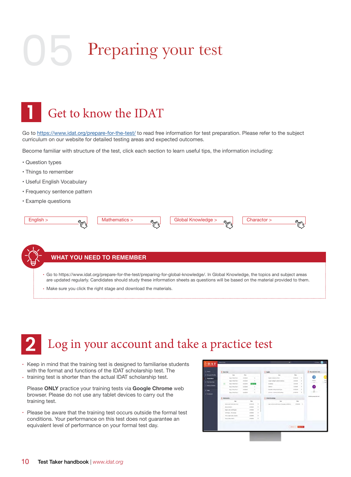## Preparing your test



Go to https://www.idat.org/prepare-for-the-test/ to read free information for test preparation. Please refer to the subject curriculum on our website for detailed testing areas and expected outcomes.

Become familiar with structure of the test, click each section to learn useful tips, the information including:

- Question types
- Things to remember
- Useful English Vocabulary
- Frequency sentence pattern
- Example questions



#### **WHAT YOU NEED TO REMEMBER**

- Go to https://www.idat.org/prepare-for-the-test/preparing-for-global-knowledge/. In Global Knowledge, the topics and subject areas are updated regularly. Candidates should study these information sheets as questions will be based on the material provided to them.
- Make sure you click the right stage and download the materials.

#### Log in your account and take a practice test **2**

- Keep in mind that the training test is designed to familiarise students with the format and functions of the IDAT scholarship test. The  $\cdot$  training test is shorter than the actual IDAT scholarship test.
- 

Please **ONLY** practice your training tests via **Google Chrome** web browser. Please do not use any tablet devices to carry out the training test.

• Please be aware that the training test occurs outside the formal test conditions. Your performance on this test does not guarantee an equivalent level of performance on your formal test day.

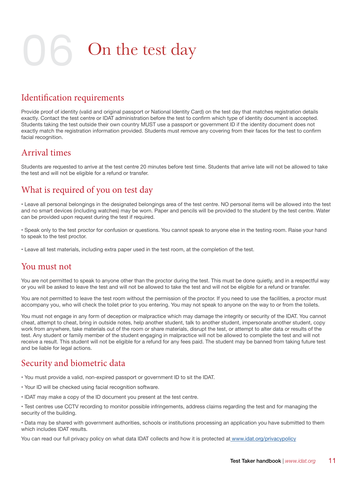**On the test day** 

#### Identification requirements

Provide proof of identity (valid and original passport or National Identity Card) on the test day that matches registration details exactly. Contact the test centre or IDAT administration before the test to confirm which type of identity document is accepted. Students taking the test outside their own country MUST use a passport or government ID if the identity document does not exactly match the registration information provided. Students must remove any covering from their faces for the test to confirm facial recognition.

#### Arrival times

Students are requested to arrive at the test centre 20 minutes before test time. Students that arrive late will not be allowed to take the test and will not be eligible for a refund or transfer.

#### What is required of you on test day

• Leave all personal belongings in the designated belongings area of the test centre. NO personal items will be allowed into the test and no smart devices (including watches) may be worn. Paper and pencils will be provided to the student by the test centre. Water can be provided upon request during the test if required.

• Speak only to the test proctor for confusion or questions. You cannot speak to anyone else in the testing room. Raise your hand to speak to the test proctor.

• Leave all test materials, including extra paper used in the test room, at the completion of the test.

#### You must not

You are not permitted to speak to anyone other than the proctor during the test. This must be done quietly, and in a respectful way or you will be asked to leave the test and will not be allowed to take the test and will not be eligible for a refund or transfer.

You are not permitted to leave the test room without the permission of the proctor. If you need to use the facilities, a proctor must accompany you, who will check the toilet prior to you entering. You may not speak to anyone on the way to or from the toilets.

You must not engage in any form of deception or malpractice which may damage the integrity or security of the IDAT. You cannot cheat, attempt to cheat, bring in outside notes, help another student, talk to another student, impersonate another student, copy work from anywhere, take materials out of the room or share materials, disrupt the test, or attempt to alter data or results of the test. Any student or family member of the student engaging in malpractice will not be allowed to complete the test and will not receive a result. This student will not be eligible for a refund for any fees paid. The student may be banned from taking future test and be liable for legal actions.

#### Security and biometric data

- You must provide a valid, non-expired passport or government ID to sit the IDAT.
- Your ID will be checked using facial recognition software.
- IDAT may make a copy of the ID document you present at the test centre.
- Test centres use CCTV recording to monitor possible infringements, address claims regarding the test and for managing the security of the building.

• Data may be shared with government authorities, schools or institutions processing an application you have submitted to them which includes IDAT results.

You can read our full privacy policy on what data IDAT collects and how it is protected at www.idat.org/privacypolicy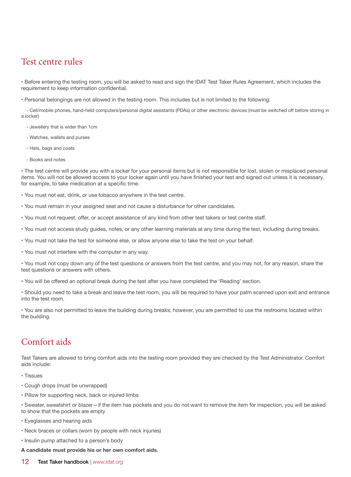#### Test centre rules

• Before entering the testing room, you will be asked to read and sign the IDAT Test Taker Rules Agreement, which includes the requirement to keep information confidential.

• Personal belongings are not allowed in the testing room. This includes but is not limited to the following:

 - Cell/mobile phones, hand-held computers/personal digital assistants (PDAs) or other electronic devices (must be switched off before storing in a locker)

- Jewellery that is wider than 1cm

- Watches, wallets and purses
- Hats, bags and coats
- Books and notes

• The test centre will provide you with a locker for your personal items but is not responsible for lost, stolen or misplaced personal items. You will not be allowed access to your locker again until you have finished your test and signed out unless it is necessary, for example, to take medication at a specific time.

- You must not eat, drink, or use tobacco anywhere in the test centre.
- You must remain in your assigned seat and not cause a disturbance for other candidates.
- You must not request, offer, or accept assistance of any kind from other test takers or test centre staff.
- You must not access study guides, notes, or any other learning materials at any time during the test, including during breaks.
- You must not take the test for someone else, or allow anyone else to take the test on your behalf.
- You must not interfere with the computer in any way.

• You must not copy down any of the test questions or answers from the test centre, and you may not, for any reason, share the test questions or answers with others.

• You will be offered an optional break during the test after you have completed the 'Reading' section.

• Should you need to take a break and leave the test room, you will be required to have your palm scanned upon exit and entrance into the test room.

• You are also not permitted to leave the building during breaks; however, you are permitted to use the restrooms located within the building.

#### Comfort aids

Test Takers are allowed to bring comfort aids into the testing room provided they are checked by the Test Administrator. Comfort aids include:

- Tissues
- Cough drops (must be unwrapped)
- Pillow for supporting neck, back or injured limbs

• Sweater, sweatshirt or blazer—if the item has pockets and you do not want to remove the item for inspection, you will be asked to show that the pockets are empty

- Eyeglasses and hearing aids
- Neck braces or collars (worn by people with neck injuries)
- Insulin pump attached to a person's body

**A candidate must provide his or her own comfort aids.**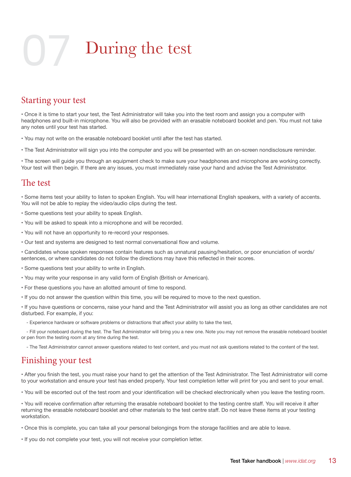## During the test

#### Starting your test

• Once it is time to start your test, the Test Administrator will take you into the test room and assign you a computer with headphones and built-in microphone. You will also be provided with an erasable noteboard booklet and pen. You must not take any notes until your test has started.

• You may not write on the erasable noteboard booklet until after the test has started.

• The Test Administrator will sign you into the computer and you will be presented with an on-screen nondisclosure reminder.

• The screen will guide you through an equipment check to make sure your headphones and microphone are working correctly. Your test will then begin. If there are any issues, you must immediately raise your hand and advise the Test Administrator.

#### The test

• Some items test your ability to listen to spoken English. You will hear international English speakers, with a variety of accents. You will not be able to replay the video/audio clips during the test.

- Some questions test your ability to speak English.
- You will be asked to speak into a microphone and will be recorded.
- You will not have an opportunity to re-record your responses.
- Our test and systems are designed to test normal conversational flow and volume.

• Candidates whose spoken responses contain features such as unnatural pausing/hesitation, or poor enunciation of words/ sentences, or where candidates do not follow the directions may have this reflected in their scores.

- Some questions test your ability to write in English.
- You may write your response in any valid form of English (British or American).
- For these questions you have an allotted amount of time to respond.
- If you do not answer the question within this time, you will be required to move to the next question.

• If you have questions or concerns, raise your hand and the Test Administrator will assist you as long as other candidates are not disturbed. For example, if you:

- Experience hardware or software problems or distractions that affect your ability to take the test,

 - Fill your noteboard during the test. The Test Administrator will bring you a new one. Note you may not remove the erasable noteboard booklet or pen from the testing room at any time during the test.

- The Test Administrator cannot answer questions related to test content, and you must not ask questions related to the content of the test.

#### Finishing your test

• After you finish the test, you must raise your hand to get the attention of the Test Administrator. The Test Administrator will come to your workstation and ensure your test has ended properly. Your test completion letter will print for you and sent to your email.

• You will be escorted out of the test room and your identification will be checked electronically when you leave the testing room.

• You will receive confirmation after returning the erasable noteboard booklet to the testing centre staff. You will receive it after returning the erasable noteboard booklet and other materials to the test centre staff. Do not leave these items at your testing workstation.

• Once this is complete, you can take all your personal belongings from the storage facilities and are able to leave.

• If you do not complete your test, you will not receive your completion letter.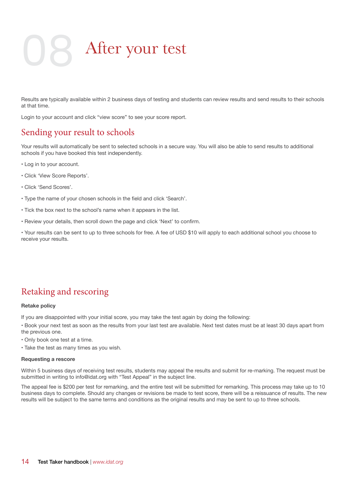## 08 After your test

Results are typically available within 2 business days of testing and students can review results and send results to their schools at that time.

Login to your account and click "view score" to see your score report.

#### Sending your result to schools

Your results will automatically be sent to selected schools in a secure way. You will also be able to send results to additional schools if you have booked this test independently.

- Log in to your account.
- Click 'View Score Reports'.
- Click 'Send Scores'.
- Type the name of your chosen schools in the field and click 'Search'.
- Tick the box next to the school's name when it appears in the list.
- Review your details, then scroll down the page and click 'Next' to confirm.

• Your results can be sent to up to three schools for free. A fee of USD \$10 will apply to each additional school you choose to receive your results.

#### Retaking and rescoring

#### **Retake policy**

If you are disappointed with your initial score, you may take the test again by doing the following:

• Book your next test as soon as the results from your last test are available. Next test dates must be at least 30 days apart from the previous one.

- Only book one test at a time.
- Take the test as many times as you wish.

#### **Requesting a rescore**

Within 5 business days of receiving test results, students may appeal the results and submit for re-marking. The request must be submitted in writing to info@idat.org with "Test Appeal" in the subject line.

The appeal fee is \$200 per test for remarking, and the entire test will be submitted for remarking. This process may take up to 10 business days to complete. Should any changes or revisions be made to test score, there will be a reissuance of results. The new results will be subject to the same terms and conditions as the original results and may be sent to up to three schools.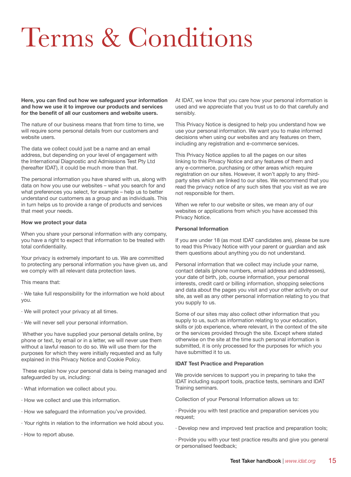## Terms & Conditions

**Here, you can find out how we safeguard your information and how we use it to improve our products and services for the benefit of all our customers and website users.**

The nature of our business means that from time to time, we will require some personal details from our customers and website users.

The data we collect could just be a name and an email address, but depending on your level of engagement with the International Diagnostic and Admissions Test Pty Ltd (hereafter IDAT), it could be much more than that.

The personal information you have shared with us, along with data on how you use our websites – what you search for and what preferences you select, for example – help us to better understand our customers as a group and as individuals. This in turn helps us to provide a range of products and services that meet your needs.

#### **How we protect your data**

When you share your personal information with any company, you have a right to expect that information to be treated with total confidentiality.

Your privacy is extremely important to us. We are committed to protecting any personal information you have given us, and we comply with all relevant data protection laws.

This means that:

· We take full responsibility for the information we hold about you.

- · We will protect your privacy at all times.
- · We will never sell your personal information.

 Whether you have supplied your personal details online, by phone or text, by email or in a letter, we will never use them without a lawful reason to do so. We will use them for the purposes for which they were initially requested and as fully explained in this Privacy Notice and Cookie Policy.

 These explain how your personal data is being managed and safeguarded by us, including:

- · What information we collect about you.
- · How we collect and use this information.
- · How we safeguard the information you've provided.
- · Your rights in relation to the information we hold about you.
- · How to report abuse.

At IDAT, we know that you care how your personal information is used and we appreciate that you trust us to do that carefully and sensibly.

This Privacy Notice is designed to help you understand how we use your personal information. We want you to make informed decisions when using our websites and any features on them, including any registration and e-commerce services.

This Privacy Notice applies to all the pages on our sites linking to this Privacy Notice and any features of them and any e-commerce, purchasing or other areas which require registration on our sites. However, it won't apply to any thirdparty sites which are linked to our sites. We recommend that you read the privacy notice of any such sites that you visit as we are not responsible for them.

When we refer to our website or sites, we mean any of our websites or applications from which you have accessed this Privacy Notice.

#### **Personal Information**

If you are under 18 (as most IDAT candidates are), please be sure to read this Privacy Notice with your parent or guardian and ask them questions about anything you do not understand.

Personal information that we collect may include your name, contact details (phone numbers, email address and addresses), your date of birth, job, course information, your personal interests, credit card or billing information, shopping selections and data about the pages you visit and your other activity on our site, as well as any other personal information relating to you that you supply to us.

Some of our sites may also collect other information that you supply to us, such as information relating to your education, skills or job experience, where relevant, in the context of the site or the services provided through the site. Except where stated otherwise on the site at the time such personal information is submitted, it is only processed for the purposes for which you have submitted it to us.

#### **IDAT Test Practice and Preparation**

We provide services to support you in preparing to take the IDAT including support tools, practice tests, seminars and IDAT Training seminars.

Collection of your Personal Information allows us to:

· Provide you with test practice and preparation services you request;

- · Develop new and improved test practice and preparation tools;
- · Provide you with your test practice results and give you general or personalised feedback;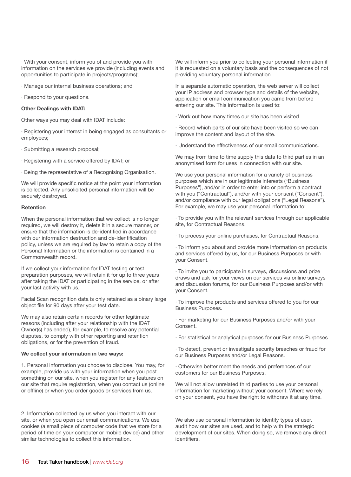· With your consent, inform you of and provide you with information on the services we provide (including events and opportunities to participate in projects/programs);

- · Manage our internal business operations; and
- · Respond to your questions.

#### **Other Dealings with IDAT:**

Other ways you may deal with IDAT include:

· Registering your interest in being engaged as consultants or employees;

- · Submitting a research proposal;
- · Registering with a service offered by IDAT; or
- · Being the representative of a Recognising Organisation.

We will provide specific notice at the point your information is collected. Any unsolicited personal information will be securely destroyed.

#### **Retention**

When the personal information that we collect is no longer required, we will destroy it, delete it in a secure manner, or ensure that the information is de-identified in accordance with our information destruction and de-identification policy, unless we are required by law to retain a copy of the Personal Information or the information is contained in a Commonwealth record.

If we collect your information for IDAT testing or test preparation purposes, we will retain it for up to three years after taking the IDAT or participating in the service, or after your last activity with us.

Facial Scan recognition data is only retained as a binary large object file for 90 days after your test date.

We may also retain certain records for other legitimate reasons (including after your relationship with the IDAT Owner(s) has ended), for example, to resolve any potential disputes, to comply with other reporting and retention obligations, or for the prevention of fraud.

#### **We collect your information in two ways:**

1. Personal information you choose to disclose. You may, for example, provide us with your information when you post something on our site, when you register for any features on our site that require registration, when you contact us (online or offline) or when you order goods or services from us.

2. Information collected by us when you interact with our site, or when you open our email communications. We use cookies (a small piece of computer code that we store for a period of time on your computer or mobile device) and other similar technologies to collect this information.

We will inform you prior to collecting your personal information if it is requested on a voluntary basis and the consequences of not providing voluntary personal information.

In a separate automatic operation, the web server will collect your IP address and browser type and details of the website, application or email communication you came from before entering our site. This information is used to:

· Work out how many times our site has been visited.

· Record which parts of our site have been visited so we can improve the content and layout of the site.

· Understand the effectiveness of our email communications.

We may from time to time supply this data to third parties in an anonymised form for uses in connection with our site.

We use your personal information for a variety of business purposes which are in our legitimate interests ("Business Purposes"), and/or in order to enter into or perform a contract with you ("Contractual"), and/or with your consent ("Consent"), and/or compliance with our legal obligations ("Legal Reasons"). For example, we may use your personal information to:

· To provide you with the relevant services through our applicable site, for Contractual Reasons.

· To process your online purchases, for Contractual Reasons.

· To inform you about and provide more information on products and services offered by us, for our Business Purposes or with your Consent.

· To invite you to participate in surveys, discussions and prize draws and ask for your views on our services via online surveys and discussion forums, for our Business Purposes and/or with your Consent.

· To improve the products and services offered to you for our Business Purposes.

· For marketing for our Business Purposes and/or with your Consent.

· For statistical or analytical purposes for our Business Purposes.

· To detect, prevent or investigate security breaches or fraud for our Business Purposes and/or Legal Reasons.

· Otherwise better meet the needs and preferences of our customers for our Business Purposes.

We will not allow unrelated third parties to use your personal information for marketing without your consent. Where we rely on your consent, you have the right to withdraw it at any time.

We also use personal information to identify types of user, audit how our sites are used, and to help with the strategic development of our sites. When doing so, we remove any direct identifiers.